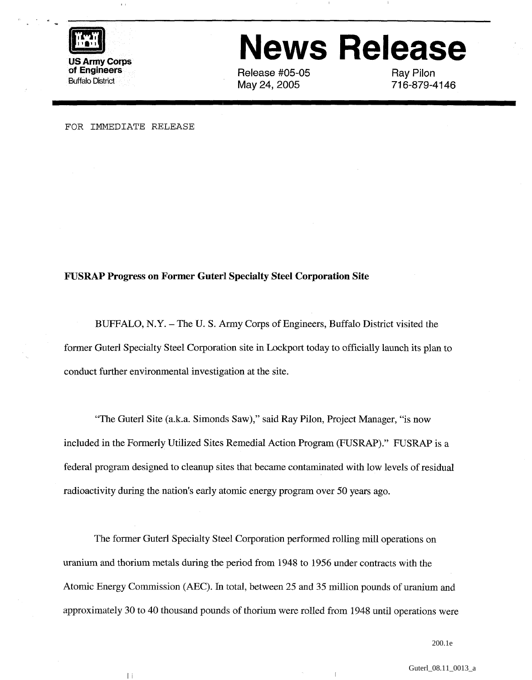

## **News Release**

Release #05-05 May 24, 2005

Ray Pilon 71 6-879-41 46

FOR IMMEDIATE RELEASE

 $\|\hspace{1mm}\|$ 

## **FUSRAP Progress on Former Guterl Specialty Steel Corporation Site**

BUFFALO, N.Y. – The U.S. Army Corps of Engineers, Buffalo District visited the former Guterl Specialty Steel Corporation site in Lockport today to officially launch its plan to conduct further environmental investigation at the site.

"The Guterl Site (a.k.a. Simonds Saw)," said Ray Pilon, Project Manager, "is now included in the Formerly Utilized Sites Remedial Action Program (FUSRAP)." FUSRAP is a federal program designed to cleanup sites that became contaminated with low levels of residual radioactivity during the nation's early atomic energy program over 50 years ago.

The former Guterl Specialty Steel Corporation performed rolling mill operations on uranium and thorium metals during the period from 1948 to 1956 under contracts with the Atomic Energy Commission (AEC). In total, between 25 and 35 million pounds of uranium and approximately 30 to 40 thousand pounds of thorium were rolled from 1948 until operations were

 $\overline{1}$ 

200.1e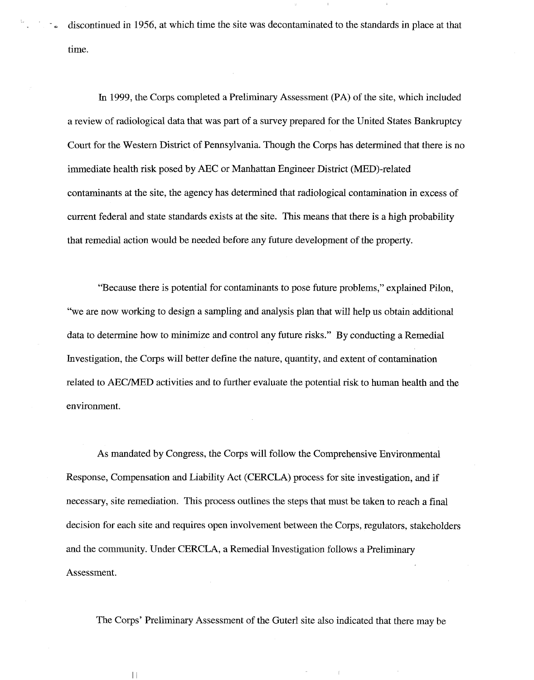discontinued in 1956, at which time the site was decontaminated to the standards in place at that time.

In 1999, the Corps completed a Preliminary Assessment (PA) of the site, which included a review of radiological data that was part of a survey prepared for the United States Bankruptcy Court for the Western District of Pennsylvania. Though the Corps has determined that there is no immediate health risk posed by AEC or Manhattan Engineer District (MED)-related contaminants at the site, the agency has determined that radiological contamination in excess of current federal and state standards exists at the site. This means that there is a high probability that remedial action would be needed before any future development of the property.

"Because there is potential for contaminants to pose future problems," explained Pilon, "we are now working to design a sampling and analysis plan that will help us obtain additional data to determine how to minimize and control any future risks." By conducting a Remedial Investigation, the Corps will better define the nature, quantity, and extent of contamination related to AEC/MED activities and to further evaluate the potential risk to human health and the environment.

As mandated by Congress, the Corps will follow the Comprehensive Environmental Response, Compensation and Liability Act (CERCLA) process for site investigation, and if necessary, site remediation. This process outlines the steps that must be taken to reach a final decision for each site and requires open involvement between the Corps, regulators, stakeholders and the community. Under CERCLA, a Remedial Investigation follows a Preliminary Assessment.

The Corps' Preliminary Assessment of the Guterl site also indicated that there may be

 $\mathcal{L}$ 

 $\lceil \cdot \rceil$